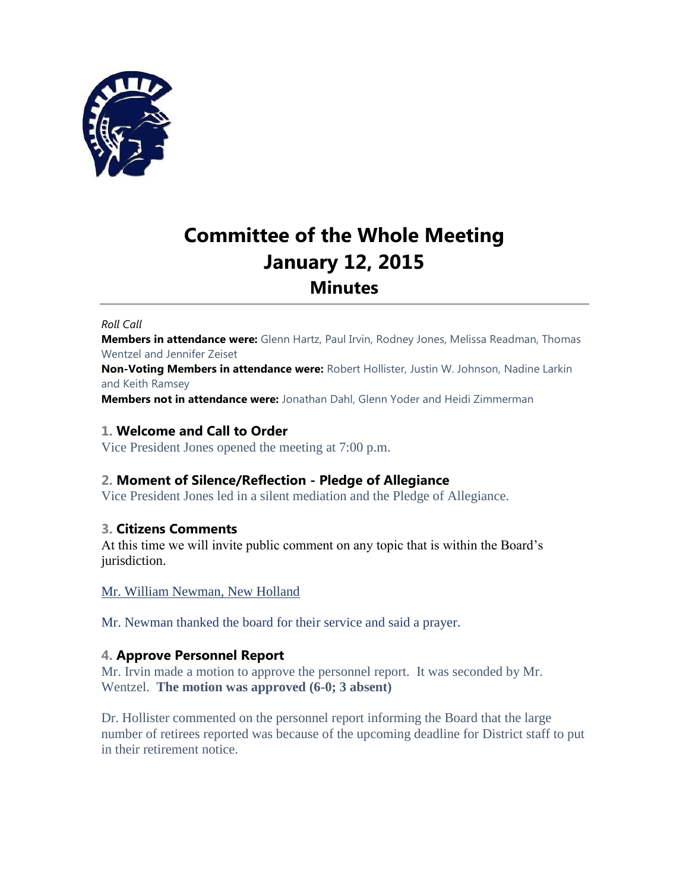

# **Committee of the Whole Meeting January 12, 2015 Minutes**

#### *Roll Call*

**Members in attendance were:** Glenn Hartz, Paul Irvin, Rodney Jones, Melissa Readman, Thomas Wentzel and Jennifer Zeiset

**Non-Voting Members in attendance were:** Robert Hollister, Justin W. Johnson, Nadine Larkin and Keith Ramsey

**Members not in attendance were:** Jonathan Dahl, Glenn Yoder and Heidi Zimmerman

# **1. Welcome and Call to Order**

Vice President Jones opened the meeting at 7:00 p.m.

# **2. Moment of Silence/Reflection - Pledge of Allegiance**

Vice President Jones led in a silent mediation and the Pledge of Allegiance.

# **3. Citizens Comments**

At this time we will invite public comment on any topic that is within the Board's jurisdiction.

Mr. William Newman, New Holland

Mr. Newman thanked the board for their service and said a prayer.

# **4. Approve Personnel Report**

Mr. Irvin made a motion to approve the personnel report. It was seconded by Mr. Wentzel. **The motion was approved (6-0; 3 absent)**

Dr. Hollister commented on the personnel report informing the Board that the large number of retirees reported was because of the upcoming deadline for District staff to put in their retirement notice.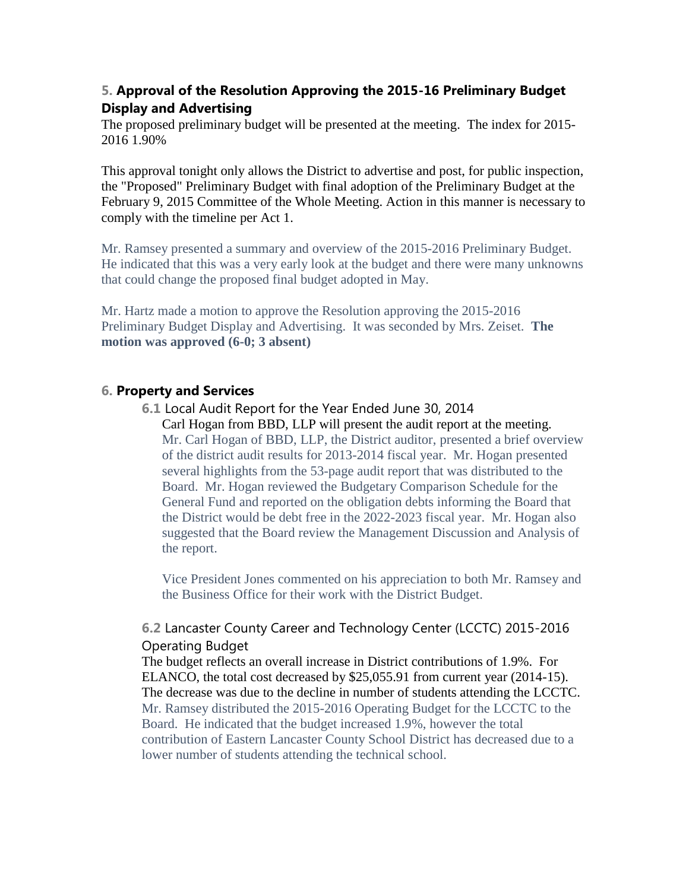# **5. Approval of the Resolution Approving the 2015-16 Preliminary Budget Display and Advertising**

The proposed preliminary budget will be presented at the meeting. The index for 2015- 2016 1.90%

This approval tonight only allows the District to advertise and post, for public inspection, the "Proposed" Preliminary Budget with final adoption of the Preliminary Budget at the February 9, 2015 Committee of the Whole Meeting. Action in this manner is necessary to comply with the timeline per Act 1.

Mr. Ramsey presented a summary and overview of the 2015-2016 Preliminary Budget. He indicated that this was a very early look at the budget and there were many unknowns that could change the proposed final budget adopted in May.

Mr. Hartz made a motion to approve the Resolution approving the 2015-2016 Preliminary Budget Display and Advertising. It was seconded by Mrs. Zeiset. **The motion was approved (6-0; 3 absent)**

# **6. Property and Services**

**6.1** Local Audit Report for the Year Ended June 30, 2014

Carl Hogan from BBD, LLP will present the audit report at the meeting. Mr. Carl Hogan of BBD, LLP, the District auditor, presented a brief overview of the district audit results for 2013-2014 fiscal year. Mr. Hogan presented several highlights from the 53-page audit report that was distributed to the Board. Mr. Hogan reviewed the Budgetary Comparison Schedule for the General Fund and reported on the obligation debts informing the Board that the District would be debt free in the 2022-2023 fiscal year. Mr. Hogan also suggested that the Board review the Management Discussion and Analysis of the report.

Vice President Jones commented on his appreciation to both Mr. Ramsey and the Business Office for their work with the District Budget.

# **6.2** Lancaster County Career and Technology Center (LCCTC) 2015-2016 Operating Budget

The budget reflects an overall increase in District contributions of 1.9%. For ELANCO, the total cost decreased by \$25,055.91 from current year (2014-15). The decrease was due to the decline in number of students attending the LCCTC. Mr. Ramsey distributed the 2015-2016 Operating Budget for the LCCTC to the Board. He indicated that the budget increased 1.9%, however the total contribution of Eastern Lancaster County School District has decreased due to a lower number of students attending the technical school.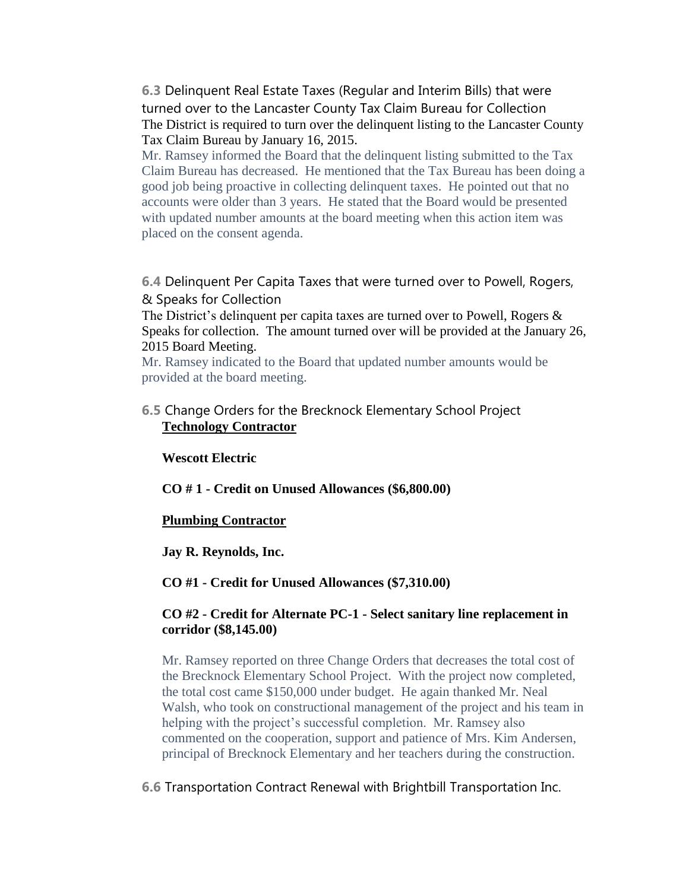**6.3** Delinquent Real Estate Taxes (Regular and Interim Bills) that were turned over to the Lancaster County Tax Claim Bureau for Collection The District is required to turn over the delinquent listing to the Lancaster County Tax Claim Bureau by January 16, 2015.

Mr. Ramsey informed the Board that the delinquent listing submitted to the Tax Claim Bureau has decreased. He mentioned that the Tax Bureau has been doing a good job being proactive in collecting delinquent taxes. He pointed out that no accounts were older than 3 years. He stated that the Board would be presented with updated number amounts at the board meeting when this action item was placed on the consent agenda.

**6.4** Delinquent Per Capita Taxes that were turned over to Powell, Rogers, & Speaks for Collection

The District's delinquent per capita taxes are turned over to Powell, Rogers & Speaks for collection. The amount turned over will be provided at the January 26, 2015 Board Meeting.

Mr. Ramsey indicated to the Board that updated number amounts would be provided at the board meeting.

# **6.5** Change Orders for the Brecknock Elementary School Project **Technology Contractor**

#### **Wescott Electric**

**CO # 1 - Credit on Unused Allowances (\$6,800.00)**

#### **Plumbing Contractor**

**Jay R. Reynolds, Inc.**

#### **CO #1 - Credit for Unused Allowances (\$7,310.00)**

#### **CO #2 - Credit for Alternate PC-1 - Select sanitary line replacement in corridor (\$8,145.00)**

Mr. Ramsey reported on three Change Orders that decreases the total cost of the Brecknock Elementary School Project. With the project now completed, the total cost came \$150,000 under budget. He again thanked Mr. Neal Walsh, who took on constructional management of the project and his team in helping with the project's successful completion. Mr. Ramsey also commented on the cooperation, support and patience of Mrs. Kim Andersen, principal of Brecknock Elementary and her teachers during the construction.

#### **6.6** Transportation Contract Renewal with Brightbill Transportation Inc.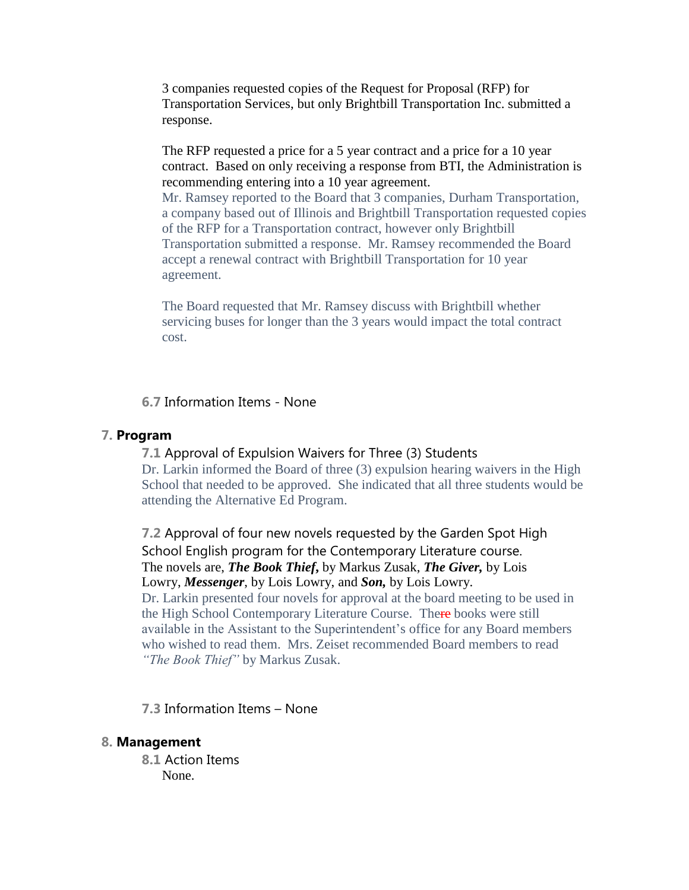3 companies requested copies of the Request for Proposal (RFP) for Transportation Services, but only Brightbill Transportation Inc. submitted a response.

The RFP requested a price for a 5 year contract and a price for a 10 year contract. Based on only receiving a response from BTI, the Administration is recommending entering into a 10 year agreement.

Mr. Ramsey reported to the Board that 3 companies, Durham Transportation, a company based out of Illinois and Brightbill Transportation requested copies of the RFP for a Transportation contract, however only Brightbill Transportation submitted a response. Mr. Ramsey recommended the Board accept a renewal contract with Brightbill Transportation for 10 year agreement.

The Board requested that Mr. Ramsey discuss with Brightbill whether servicing buses for longer than the 3 years would impact the total contract cost.

**6.7** Information Items - None

# **7. Program**

#### **7.1** Approval of Expulsion Waivers for Three (3) Students

Dr. Larkin informed the Board of three (3) expulsion hearing waivers in the High School that needed to be approved. She indicated that all three students would be attending the Alternative Ed Program.

**7.2** Approval of four new novels requested by the Garden Spot High School English program for the Contemporary Literature course. The novels are, *The Book Thief***,** by Markus Zusak, *The Giver,* by Lois Lowry, *Messenger*, by Lois Lowry, and *Son,* by Lois Lowry. Dr. Larkin presented four novels for approval at the board meeting to be used in

the High School Contemporary Literature Course. There books were still available in the Assistant to the Superintendent's office for any Board members who wished to read them. Mrs. Zeiset recommended Board members to read *"The Book Thief"* by Markus Zusak.

**7.3** Information Items – None

#### **8. Management**

**8.1** Action Items None.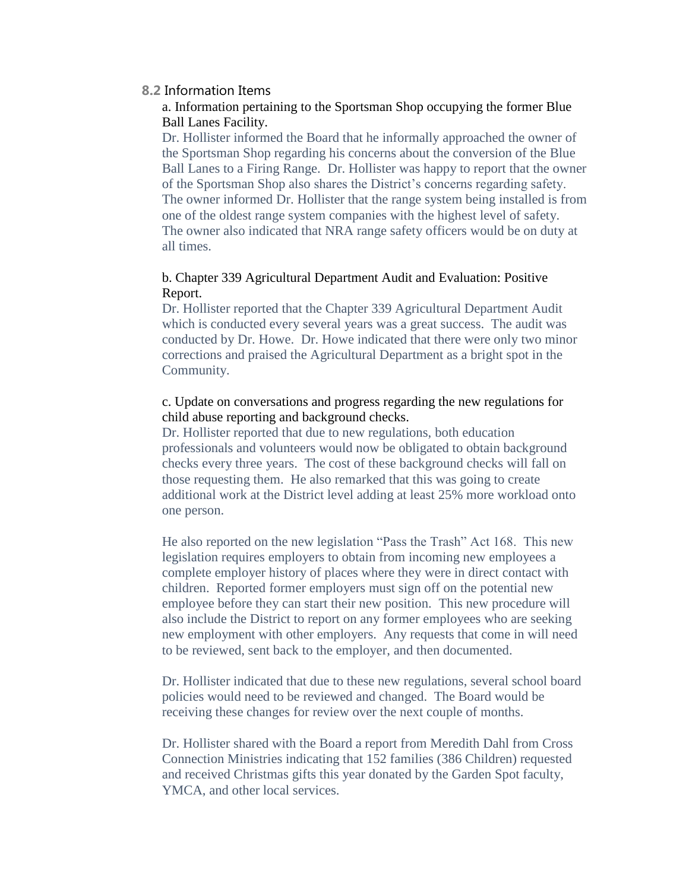#### **8.2** Information Items

#### a. Information pertaining to the Sportsman Shop occupying the former Blue Ball Lanes Facility.

Dr. Hollister informed the Board that he informally approached the owner of the Sportsman Shop regarding his concerns about the conversion of the Blue Ball Lanes to a Firing Range. Dr. Hollister was happy to report that the owner of the Sportsman Shop also shares the District's concerns regarding safety. The owner informed Dr. Hollister that the range system being installed is from one of the oldest range system companies with the highest level of safety. The owner also indicated that NRA range safety officers would be on duty at all times.

# b. Chapter 339 Agricultural Department Audit and Evaluation: Positive Report.

Dr. Hollister reported that the Chapter 339 Agricultural Department Audit which is conducted every several years was a great success. The audit was conducted by Dr. Howe. Dr. Howe indicated that there were only two minor corrections and praised the Agricultural Department as a bright spot in the Community.

# c. Update on conversations and progress regarding the new regulations for child abuse reporting and background checks.

Dr. Hollister reported that due to new regulations, both education professionals and volunteers would now be obligated to obtain background checks every three years. The cost of these background checks will fall on those requesting them. He also remarked that this was going to create additional work at the District level adding at least 25% more workload onto one person.

He also reported on the new legislation "Pass the Trash" Act 168. This new legislation requires employers to obtain from incoming new employees a complete employer history of places where they were in direct contact with children. Reported former employers must sign off on the potential new employee before they can start their new position. This new procedure will also include the District to report on any former employees who are seeking new employment with other employers. Any requests that come in will need to be reviewed, sent back to the employer, and then documented.

Dr. Hollister indicated that due to these new regulations, several school board policies would need to be reviewed and changed. The Board would be receiving these changes for review over the next couple of months.

Dr. Hollister shared with the Board a report from Meredith Dahl from Cross Connection Ministries indicating that 152 families (386 Children) requested and received Christmas gifts this year donated by the Garden Spot faculty, YMCA, and other local services.